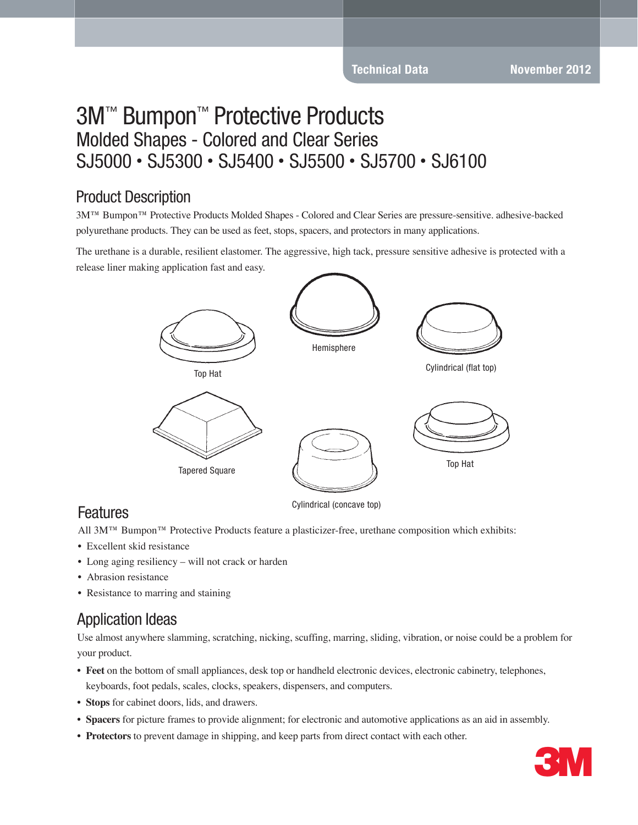### Product Description

3M™ Bumpon™ Protective Products Molded Shapes - Colored and Clear Series are pressure-sensitive. adhesive-backed polyurethane products. They can be used as feet, stops, spacers, and protectors in many applications.

The urethane is a durable, resilient elastomer. The aggressive, high tack, pressure sensitive adhesive is protected with a release liner making application fast and easy.



#### Cylindrical (concave top)

All 3M™ Bumpon™ Protective Products feature a plasticizer-free, urethane composition which exhibits:

- Excellent skid resistance
- Long aging resiliency will not crack or harden
- Abrasion resistance

Features

• Resistance to marring and staining

### Application Ideas

Use almost anywhere slamming, scratching, nicking, scuffing, marring, sliding, vibration, or noise could be a problem for your product.

- **Feet** on the bottom of small appliances, desk top or handheld electronic devices, electronic cabinetry, telephones,
- keyboards, foot pedals, scales, clocks, speakers, dispensers, and computers.
- **Stops** for cabinet doors, lids, and drawers.
- **Spacers** for picture frames to provide alignment; for electronic and automotive applications as an aid in assembly.
- **Protectors** to prevent damage in shipping, and keep parts from direct contact with each other.

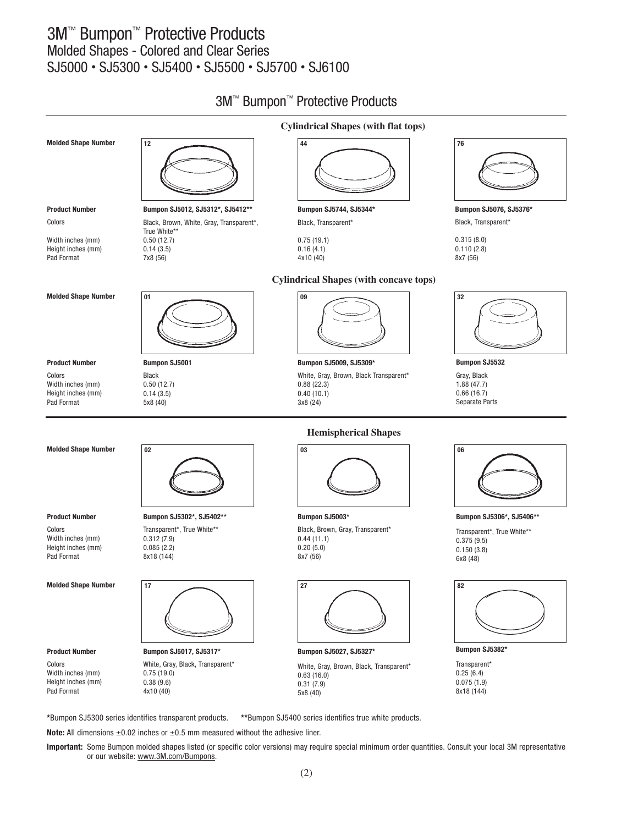

**Important:** Some Bumpon molded shapes listed (or specific color versions) may require special minimum order quantities. Consult your local 3M representative or our website: www.3M.com/Bumpons.

**Note:** All dimensions ±0.02 inches or ±0.5 mm measured without the adhesive liner.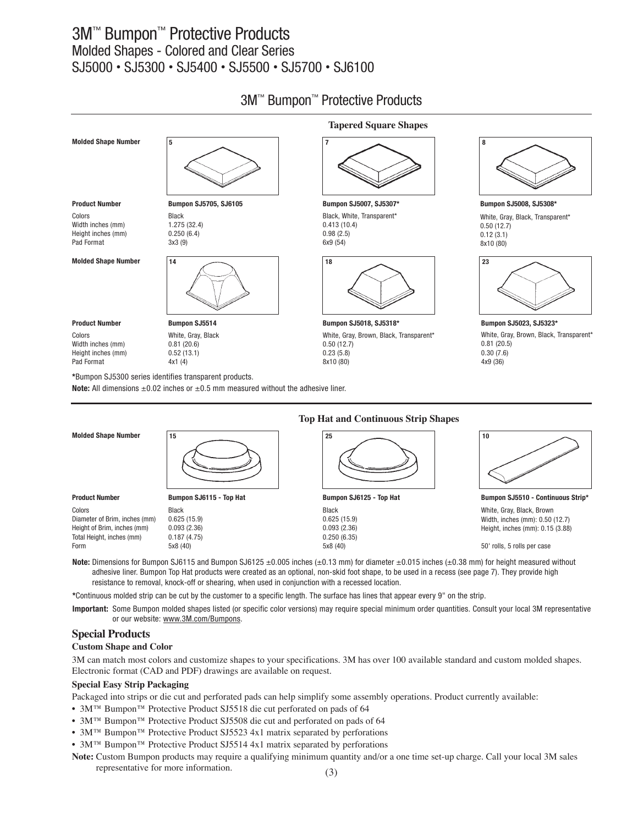

|                                                                                                                                                   | <b>Top Hat and Continuous Strip Shapes</b> |                         |                                   |  |  |
|---------------------------------------------------------------------------------------------------------------------------------------------------|--------------------------------------------|-------------------------|-----------------------------------|--|--|
| <b>Molded Shape Number</b>                                                                                                                        | 15                                         | 25                      | 10                                |  |  |
| <b>Product Number</b>                                                                                                                             | Bumpon SJ6115 - Top Hat                    | Bumpon SJ6125 - Top Hat | Bumpon SJ5510 - Continuous Strip* |  |  |
| Colors                                                                                                                                            | Black                                      | Black                   | White, Gray, Black, Brown         |  |  |
| Diameter of Brim, inches (mm)                                                                                                                     | 0.625(15.9)                                | 0.625(15.9)             | Width, inches (mm): 0.50 (12.7)   |  |  |
| Height of Brim, inches (mm)                                                                                                                       | 0.093(2.36)                                | 0.093(2.36)             | Height, inches (mm): 0.15 (3.88)  |  |  |
| Total Height, inches (mm)                                                                                                                         | 0.187(4.75)                                | 0.250(6.35)             |                                   |  |  |
| Form                                                                                                                                              | 5x8(40)                                    | 5x8(40)                 | 50' rolls, 5 rolls per case       |  |  |
| Note: Dimensions for Bumpon S.16115 and Bumpon S.16125 +0 005 inches (+0 13 mm) for diameter +0 015 inches (+0 38 mm) for height measured without |                                            |                         |                                   |  |  |

#### **Note:** Dimensions for Bumpon SJ6115 and Bumpon SJ6125 ±0.005 inches (±0.13 mm) for diameter ±0.015 inches (±0.38 mm) for height measured without adhesive liner. Bumpon Top Hat products were created as an optional, non-skid foot shape, to be used in a recess (see page 7). They provide high resistance to removal, knock-off or shearing, when used in conjunction with a recessed location.

**\***Continuous molded strip can be cut by the customer to a specific length. The surface has lines that appear every 9" on the strip.

**Important:** Some Bumpon molded shapes listed (or specific color versions) may require special minimum order quantities. Consult your local 3M representative or our website: www.3M.com/Bumpons.

#### **Special Products**

**Custom Shape and Color**

3M can match most colors and customize shapes to your specifications. 3M has over 100 available standard and custom molded shapes. Electronic format (CAD and PDF) drawings are available on request.

#### **Special Easy Strip Packaging**

Packaged into strips or die cut and perforated pads can help simplify some assembly operations. Product currently available:

• 3M™ Bumpon™ Protective Product SJ5518 die cut perforated on pads of 64

**Note:** All dimensions  $\pm 0.02$  inches or  $\pm 0.5$  mm measured without the adhesive liner.

- 3M™ Bumpon™ Protective Product SJ5508 die cut and perforated on pads of 64
- 3M™ Bumpon™ Protective Product SJ5523 4x1 matrix separated by perforations
- 3M™ Bumpon™ Protective Product SJ5514 4x1 matrix separated by perforations
- **Note:** Custom Bumpon products may require a qualifying minimum quantity and/or a one time set-up charge. Call your local 3M sales representative for more information.

#### 3M™ Bumpon™ Protective Products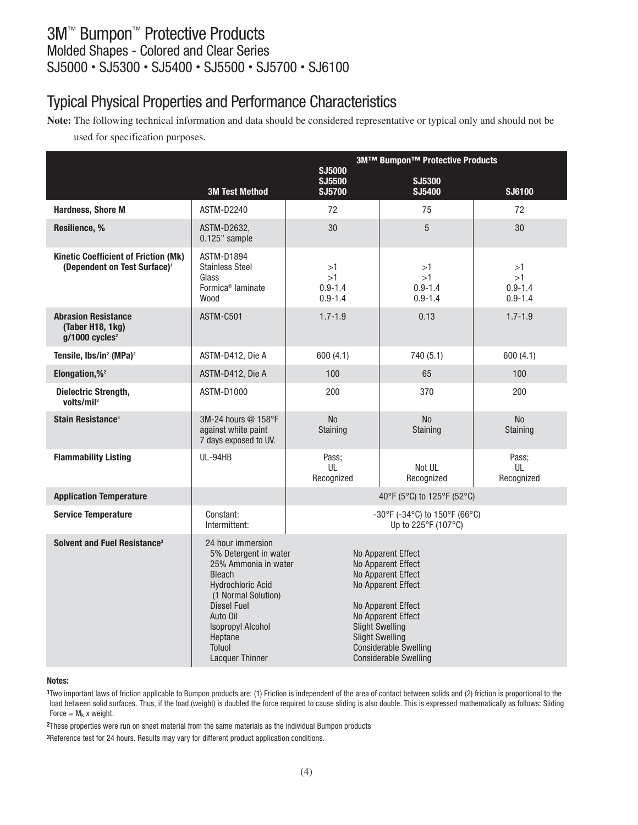# Typical Physical Properties and Performance Characteristics

**Note:** The following technical information and data should be considered representative or typical only and should not be

used for specification purposes.

|                                                                                         |                                                                                                                                                                                                                                                     | 3M™ Bumpon™ Protective Products                                                                                                                                                                                                                      |                                                      |                                        |
|-----------------------------------------------------------------------------------------|-----------------------------------------------------------------------------------------------------------------------------------------------------------------------------------------------------------------------------------------------------|------------------------------------------------------------------------------------------------------------------------------------------------------------------------------------------------------------------------------------------------------|------------------------------------------------------|----------------------------------------|
|                                                                                         | <b>3M Test Method</b>                                                                                                                                                                                                                               | <b>SJ5000</b><br>SJ5500<br><b>SJ5700</b>                                                                                                                                                                                                             | SJ5300<br>SJ5400                                     | SJ6100                                 |
| <b>Hardness, Shore M</b>                                                                | ASTM-D2240                                                                                                                                                                                                                                          | 72                                                                                                                                                                                                                                                   | 75                                                   | 72                                     |
| Resilience, %                                                                           | ASTM-D2632,<br>0.125" sample                                                                                                                                                                                                                        | 30                                                                                                                                                                                                                                                   | $\overline{5}$                                       | 30                                     |
| <b>Kinetic Coefficient of Friction (Mk)</b><br>(Dependent on Test Surface) <sup>1</sup> | <b>ASTM-D1894</b><br><b>Stainless Steel</b><br>Glass<br>Formica <sup>®</sup> laminate<br>Wood                                                                                                                                                       | >1<br>>1<br>$0.9 - 1.4$<br>$0.9 - 1.4$                                                                                                                                                                                                               | >1<br>>1<br>$0.9 - 1.4$<br>$0.9 - 1.4$               | >1<br>>1<br>$0.9 - 1.4$<br>$0.9 - 1.4$ |
| <b>Abrasion Resistance</b><br>(Taber H18, 1kg)<br>$g/1000$ cycles <sup>2</sup>          | ASTM-C501                                                                                                                                                                                                                                           | $1.7 - 1.9$                                                                                                                                                                                                                                          | 0.13                                                 | $1.7 - 1.9$                            |
| Tensile, Ibs/in <sup>2</sup> (MPa) <sup>2</sup>                                         | ASTM-D412, Die A                                                                                                                                                                                                                                    | 600(4.1)                                                                                                                                                                                                                                             | 740 (5.1)                                            | 600(4.1)                               |
| Elongation,% <sup>2</sup>                                                               | ASTM-D412, Die A                                                                                                                                                                                                                                    | 100                                                                                                                                                                                                                                                  | 65                                                   | 100                                    |
| <b>Dielectric Strength,</b><br>volts/mil <sup>2</sup>                                   | ASTM-D1000                                                                                                                                                                                                                                          | 200                                                                                                                                                                                                                                                  | 370                                                  | 200                                    |
| Stain Resistance <sup>3</sup>                                                           | 3M-24 hours @ 158°F<br>against white paint<br>7 days exposed to UV.                                                                                                                                                                                 | <b>No</b><br>Staining                                                                                                                                                                                                                                | N <sub>o</sub><br>Staining                           | <b>No</b><br>Staining                  |
| <b>Flammability Listing</b>                                                             | UL-94HB                                                                                                                                                                                                                                             | Pass:<br>UL<br>Recognized                                                                                                                                                                                                                            | Not UL<br>Recognized                                 | Pass:<br>UL<br>Recognized              |
| <b>Application Temperature</b>                                                          |                                                                                                                                                                                                                                                     |                                                                                                                                                                                                                                                      | 40°F (5°C) to 125°F (52°C)                           |                                        |
| <b>Service Temperature</b>                                                              | Constant:<br>Intermittent:                                                                                                                                                                                                                          |                                                                                                                                                                                                                                                      | -30°F (-34°C) to 150°F (66°C)<br>Up to 225°F (107°C) |                                        |
| Solvent and Fuel Resistance <sup>3</sup>                                                | 24 hour immersion<br>5% Detergent in water<br>25% Ammonia in water<br><b>Bleach</b><br><b>Hydrochloric Acid</b><br>(1 Normal Solution)<br>Diesel Fuel<br>Auto Oil<br><b>Isopropyl Alcohol</b><br>Heptane<br><b>Toluol</b><br><b>Lacquer Thinner</b> | No Apparent Effect<br>No Apparent Effect<br>No Apparent Effect<br>No Apparent Effect<br>No Apparent Effect<br>No Apparent Effect<br><b>Slight Swelling</b><br><b>Slight Swelling</b><br><b>Considerable Swelling</b><br><b>Considerable Swelling</b> |                                                      |                                        |

#### **Notes:**

**1**Two important laws of friction applicable to Bumpon products are: (1) Friction is independent of the area of contact between solids and (2) friction is proportional to the load between solid surfaces. Thus, if the load (weight) is doubled the force required to cause sliding is also double. This is expressed mathematically as follows: Sliding Force =  $M_k$  x weight.

**2**These properties were run on sheet material from the same materials as the individual Bumpon products

**3**Reference test for 24 hours. Results may vary for different product application conditions.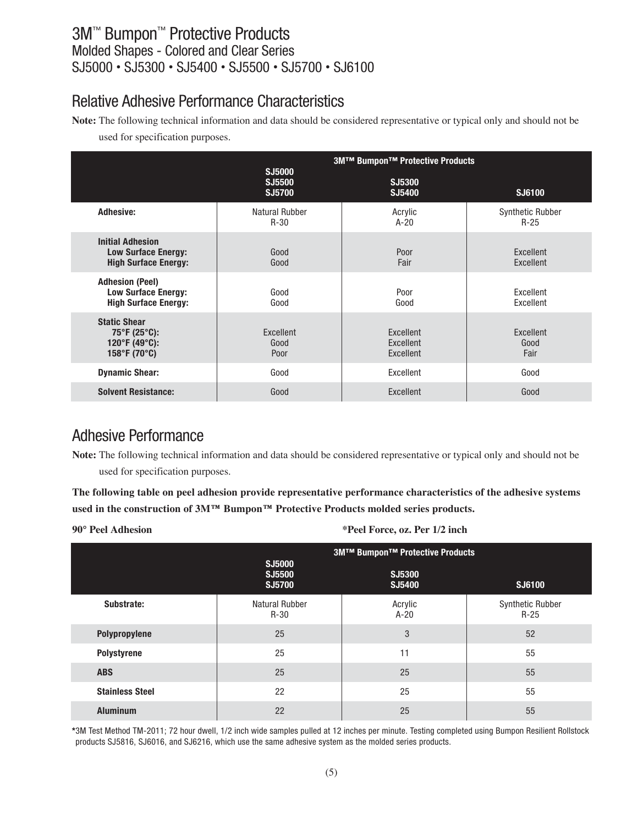### Relative Adhesive Performance Characteristics

**Note:** The following technical information and data should be considered representative or typical only and should not be

used for specification purposes.

|                                                                                           |                            | <b>3M™ Bumpon™ Protective Products</b> |                                   |  |
|-------------------------------------------------------------------------------------------|----------------------------|----------------------------------------|-----------------------------------|--|
|                                                                                           | SJ5000<br>SJ5500<br>SJ5700 | SJ5300<br>SJ5400                       | SJ6100                            |  |
| <b>Adhesive:</b>                                                                          | Natural Rubber<br>$R-30$   | Acrylic<br>$A-20$                      | <b>Synthetic Rubber</b><br>$R-25$ |  |
| <b>Initial Adhesion</b><br><b>Low Surface Energy:</b><br><b>High Surface Energy:</b>      | Good<br>Good               | Poor<br>Fair                           | Excellent<br>Excellent            |  |
| <b>Adhesion (Peel)</b><br><b>Low Surface Energy:</b><br><b>High Surface Energy:</b>       | Good<br>Good               | Poor<br>Good                           | Excellent<br>Excellent            |  |
| <b>Static Shear</b><br>$75^{\circ}$ F (25 $^{\circ}$ C):<br>120°F (49°C):<br>158°F (70°C) | Excellent<br>Good<br>Poor  | Excellent<br>Excellent<br>Excellent    | Excellent<br>Good<br>Fair         |  |
| <b>Dynamic Shear:</b>                                                                     | Good                       | Excellent                              | Good                              |  |
| <b>Solvent Resistance:</b>                                                                | Good                       | Excellent                              | Good                              |  |

### Adhesive Performance

**Note:** The following technical information and data should be considered representative or typical only and should not be used for specification purposes.

**The following table on peel adhesion provide representative performance characteristics of the adhesive systems used in the construction of 3M™ Bumpon™ Protective Products molded series products.**

**90° Peel Adhesion \*Peel Force, oz. Per 1/2 inch**

|                        | <b>3M™ Bumpon™ Protective Products</b> |                   |                            |  |
|------------------------|----------------------------------------|-------------------|----------------------------|--|
|                        | SJ5000<br>SJ5500<br>SJ5700             | SJ5300<br>SJ5400  | SJ6100                     |  |
| Substrate:             | <b>Natural Rubber</b><br>$R-30$        | Acrylic<br>$A-20$ | Synthetic Rubber<br>$R-25$ |  |
| Polypropylene          | 25                                     | 3                 | 52                         |  |
| Polystyrene            | 25                                     | 11                | 55                         |  |
| <b>ABS</b>             | 25                                     | 25                | 55                         |  |
| <b>Stainless Steel</b> | 22                                     | 25                | 55                         |  |
| <b>Aluminum</b>        | 22                                     | 25                | 55                         |  |

**\***3M Test Method TM-2011; 72 hour dwell, 1/2 inch wide samples pulled at 12 inches per minute. Testing completed using Bumpon Resilient Rollstock products SJ5816, SJ6016, and SJ6216, which use the same adhesive system as the molded series products.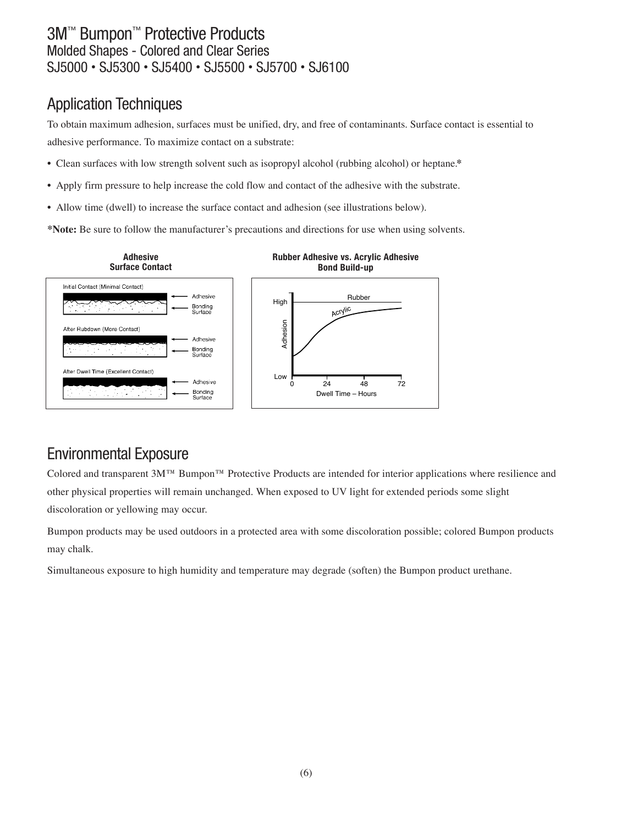# Application Techniques

To obtain maximum adhesion, surfaces must be unified, dry, and free of contaminants. Surface contact is essential to adhesive performance. To maximize contact on a substrate:

- Clean surfaces with low strength solvent such as isopropyl alcohol (rubbing alcohol) or heptane.**\***
- Apply firm pressure to help increase the cold flow and contact of the adhesive with the substrate.
- Allow time (dwell) to increase the surface contact and adhesion (see illustrations below).

**\*Note:** Be sure to follow the manufacturer's precautions and directions for use when using solvents.



# Environmental Exposure

Colored and transparent 3M™ Bumpon™ Protective Products are intended for interior applications where resilience and other physical properties will remain unchanged. When exposed to UV light for extended periods some slight discoloration or yellowing may occur.

Bumpon products may be used outdoors in a protected area with some discoloration possible; colored Bumpon products may chalk.

Simultaneous exposure to high humidity and temperature may degrade (soften) the Bumpon product urethane.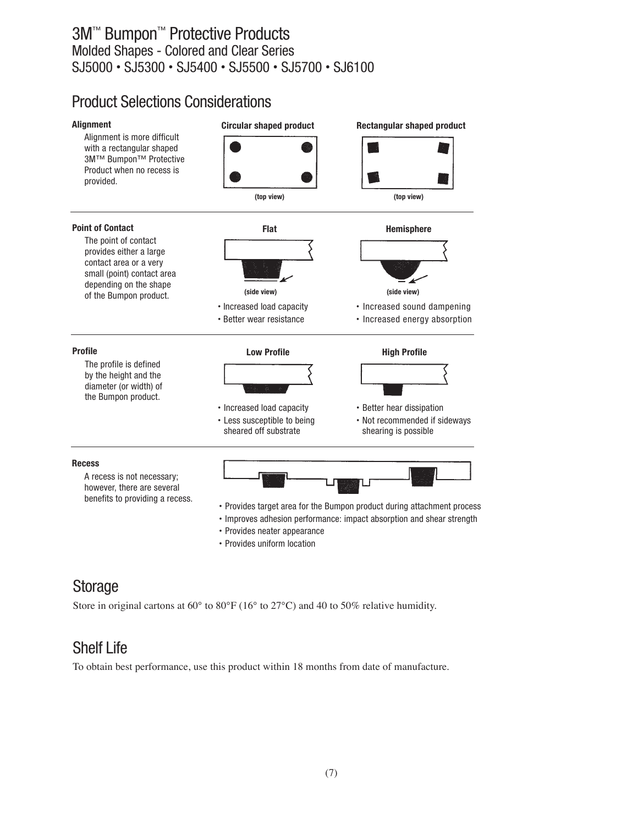## Product Selections Considerations



# **Storage**

Store in original cartons at  $60^{\circ}$  to  $80^{\circ}$  F (16 $^{\circ}$  to 27 $^{\circ}$ C) and 40 to 50% relative humidity.

# Shelf Life

To obtain best performance, use this product within 18 months from date of manufacture.